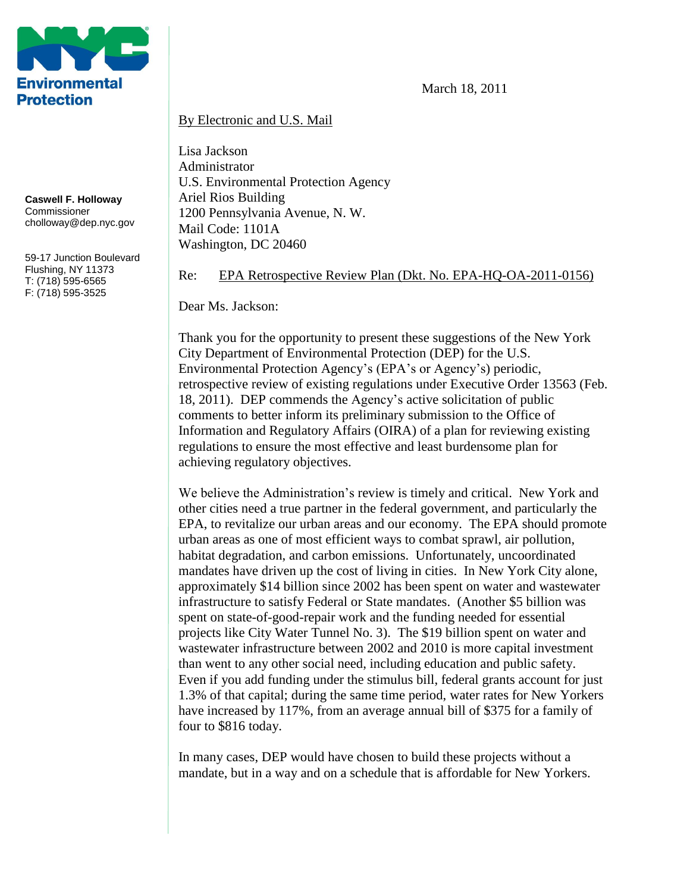

**Caswell F. Holloway** Commissioner cholloway@dep.nyc.gov

59-17 Junction Boulevard Flushing, NY 11373 T: (718) 595-6565 F: (718) 595-3525

March 18, 2011

#### By Electronic and U.S. Mail

Lisa Jackson Administrator U.S. Environmental Protection Agency Ariel Rios Building 1200 Pennsylvania Avenue, N. W. Mail Code: 1101A Washington, DC 20460

Re: EPA Retrospective Review Plan (Dkt. No. EPA-HQ-OA-2011-0156)

Dear Ms. Jackson:

Thank you for the opportunity to present these suggestions of the New York City Department of Environmental Protection (DEP) for the U.S. Environmental Protection Agency's (EPA's or Agency's) periodic, retrospective review of existing regulations under Executive Order 13563 (Feb. 18, 2011). DEP commends the Agency's active solicitation of public comments to better inform its preliminary submission to the Office of Information and Regulatory Affairs (OIRA) of a plan for reviewing existing regulations to ensure the most effective and least burdensome plan for achieving regulatory objectives.

We believe the Administration's review is timely and critical. New York and other cities need a true partner in the federal government, and particularly the EPA, to revitalize our urban areas and our economy. The EPA should promote urban areas as one of most efficient ways to combat sprawl, air pollution, habitat degradation, and carbon emissions. Unfortunately, uncoordinated mandates have driven up the cost of living in cities. In New York City alone, approximately \$14 billion since 2002 has been spent on water and wastewater infrastructure to satisfy Federal or State mandates. (Another \$5 billion was spent on state-of-good-repair work and the funding needed for essential projects like City Water Tunnel No. 3). The \$19 billion spent on water and wastewater infrastructure between 2002 and 2010 is more capital investment than went to any other social need, including education and public safety. Even if you add funding under the stimulus bill, federal grants account for just 1.3% of that capital; during the same time period, water rates for New Yorkers have increased by 117%, from an average annual bill of \$375 for a family of four to \$816 today.

In many cases, DEP would have chosen to build these projects without a mandate, but in a way and on a schedule that is affordable for New Yorkers.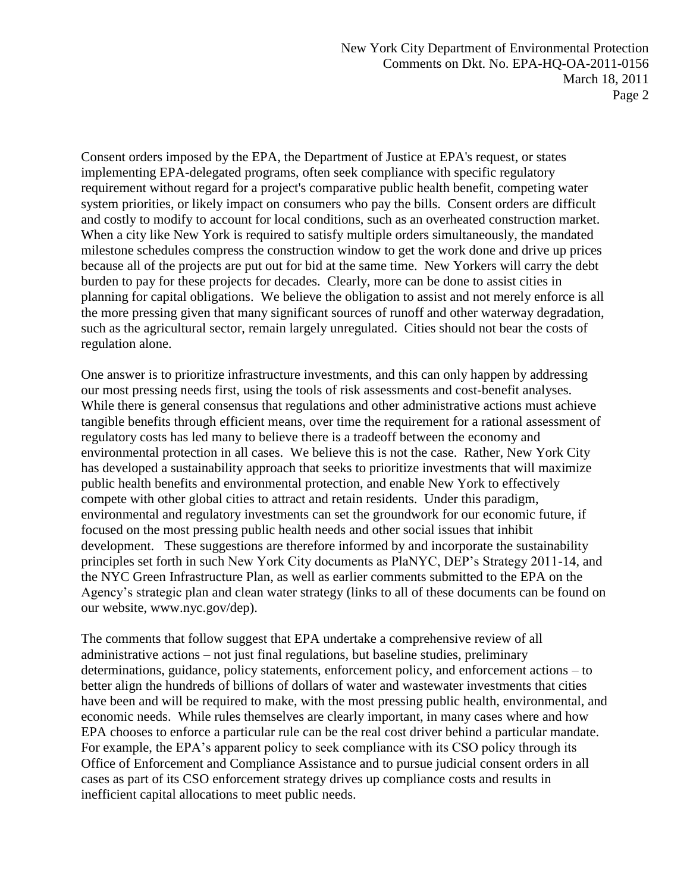Consent orders imposed by the EPA, the Department of Justice at EPA's request, or states implementing EPA-delegated programs, often seek compliance with specific regulatory requirement without regard for a project's comparative public health benefit, competing water system priorities, or likely impact on consumers who pay the bills. Consent orders are difficult and costly to modify to account for local conditions, such as an overheated construction market. When a city like New York is required to satisfy multiple orders simultaneously, the mandated milestone schedules compress the construction window to get the work done and drive up prices because all of the projects are put out for bid at the same time. New Yorkers will carry the debt burden to pay for these projects for decades. Clearly, more can be done to assist cities in planning for capital obligations. We believe the obligation to assist and not merely enforce is all the more pressing given that many significant sources of runoff and other waterway degradation, such as the agricultural sector, remain largely unregulated. Cities should not bear the costs of regulation alone.

One answer is to prioritize infrastructure investments, and this can only happen by addressing our most pressing needs first, using the tools of risk assessments and cost-benefit analyses. While there is general consensus that regulations and other administrative actions must achieve tangible benefits through efficient means, over time the requirement for a rational assessment of regulatory costs has led many to believe there is a tradeoff between the economy and environmental protection in all cases. We believe this is not the case. Rather, New York City has developed a sustainability approach that seeks to prioritize investments that will maximize public health benefits and environmental protection, and enable New York to effectively compete with other global cities to attract and retain residents. Under this paradigm, environmental and regulatory investments can set the groundwork for our economic future, if focused on the most pressing public health needs and other social issues that inhibit development. These suggestions are therefore informed by and incorporate the sustainability principles set forth in such New York City documents as PlaNYC, DEP's Strategy 2011-14, and the NYC Green Infrastructure Plan, as well as earlier comments submitted to the EPA on the Agency's strategic plan and clean water strategy (links to all of these documents can be found on our website, www.nyc.gov/dep).

The comments that follow suggest that EPA undertake a comprehensive review of all administrative actions – not just final regulations, but baseline studies, preliminary determinations, guidance, policy statements, enforcement policy, and enforcement actions – to better align the hundreds of billions of dollars of water and wastewater investments that cities have been and will be required to make, with the most pressing public health, environmental, and economic needs. While rules themselves are clearly important, in many cases where and how EPA chooses to enforce a particular rule can be the real cost driver behind a particular mandate. For example, the EPA's apparent policy to seek compliance with its CSO policy through its Office of Enforcement and Compliance Assistance and to pursue judicial consent orders in all cases as part of its CSO enforcement strategy drives up compliance costs and results in inefficient capital allocations to meet public needs.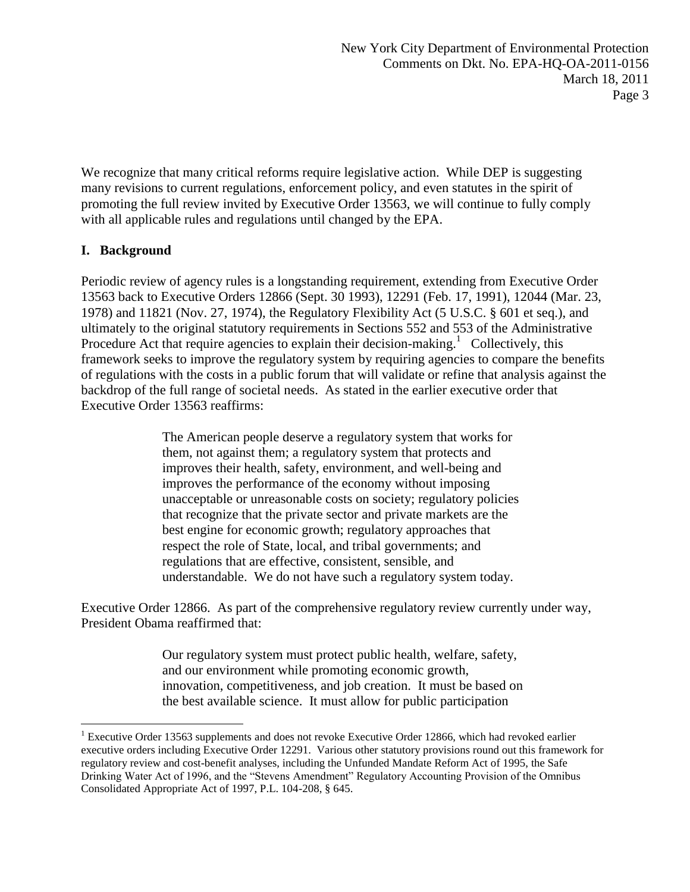We recognize that many critical reforms require legislative action. While DEP is suggesting many revisions to current regulations, enforcement policy, and even statutes in the spirit of promoting the full review invited by Executive Order 13563, we will continue to fully comply with all applicable rules and regulations until changed by the EPA.

# **I. Background**

 $\overline{a}$ 

Periodic review of agency rules is a longstanding requirement, extending from Executive Order 13563 back to Executive Orders 12866 (Sept. 30 1993), 12291 (Feb. 17, 1991), 12044 (Mar. 23, 1978) and 11821 (Nov. 27, 1974), the Regulatory Flexibility Act (5 U.S.C. § 601 et seq.), and ultimately to the original statutory requirements in Sections 552 and 553 of the Administrative Procedure Act that require agencies to explain their decision-making.<sup>1</sup> Collectively, this framework seeks to improve the regulatory system by requiring agencies to compare the benefits of regulations with the costs in a public forum that will validate or refine that analysis against the backdrop of the full range of societal needs. As stated in the earlier executive order that Executive Order 13563 reaffirms:

> The American people deserve a regulatory system that works for them, not against them; a regulatory system that protects and improves their health, safety, environment, and well-being and improves the performance of the economy without imposing unacceptable or unreasonable costs on society; regulatory policies that recognize that the private sector and private markets are the best engine for economic growth; regulatory approaches that respect the role of State, local, and tribal governments; and regulations that are effective, consistent, sensible, and understandable. We do not have such a regulatory system today.

Executive Order 12866. As part of the comprehensive regulatory review currently under way, President Obama reaffirmed that:

> Our regulatory system must protect public health, welfare, safety, and our environment while promoting economic growth, innovation, competitiveness, and job creation. It must be based on the best available science. It must allow for public participation

<sup>&</sup>lt;sup>1</sup> Executive Order 13563 supplements and does not revoke Executive Order 12866, which had revoked earlier executive orders including Executive Order 12291. Various other statutory provisions round out this framework for regulatory review and cost-benefit analyses, including the Unfunded Mandate Reform Act of 1995, the Safe Drinking Water Act of 1996, and the "Stevens Amendment" Regulatory Accounting Provision of the Omnibus Consolidated Appropriate Act of 1997, P.L. 104-208, § 645.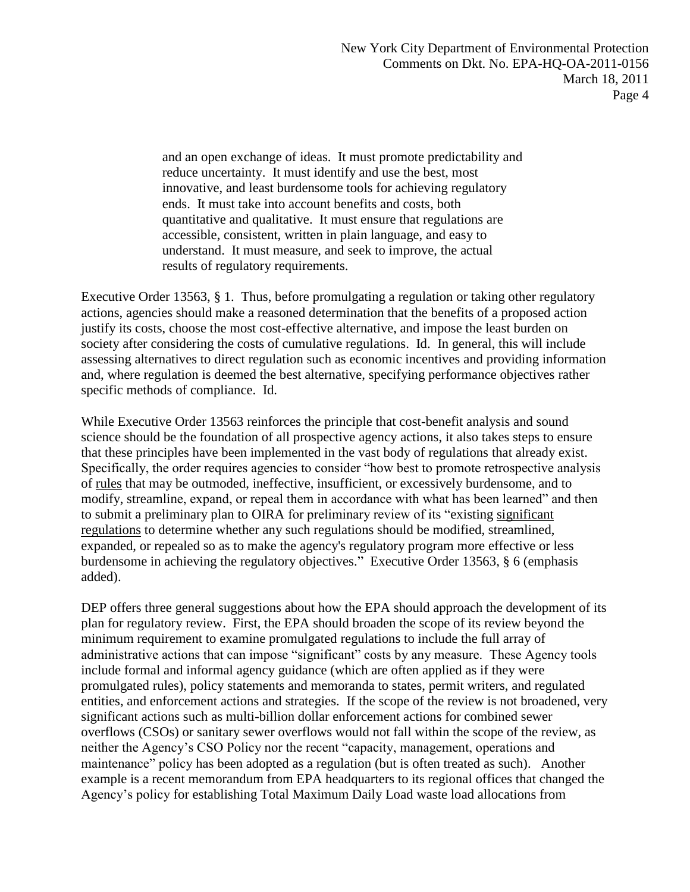and an open exchange of ideas. It must promote predictability and reduce uncertainty. It must identify and use the best, most innovative, and least burdensome tools for achieving regulatory ends. It must take into account benefits and costs, both quantitative and qualitative. It must ensure that regulations are accessible, consistent, written in plain language, and easy to understand. It must measure, and seek to improve, the actual results of regulatory requirements.

Executive Order 13563, § 1. Thus, before promulgating a regulation or taking other regulatory actions, agencies should make a reasoned determination that the benefits of a proposed action justify its costs, choose the most cost-effective alternative, and impose the least burden on society after considering the costs of cumulative regulations. Id. In general, this will include assessing alternatives to direct regulation such as economic incentives and providing information and, where regulation is deemed the best alternative, specifying performance objectives rather specific methods of compliance. Id.

While Executive Order 13563 reinforces the principle that cost-benefit analysis and sound science should be the foundation of all prospective agency actions, it also takes steps to ensure that these principles have been implemented in the vast body of regulations that already exist. Specifically, the order requires agencies to consider "how best to promote retrospective analysis" of rules that may be outmoded, ineffective, insufficient, or excessively burdensome, and to modify, streamline, expand, or repeal them in accordance with what has been learned" and then to submit a preliminary plan to OIRA for preliminary review of its "existing significant regulations to determine whether any such regulations should be modified, streamlined, expanded, or repealed so as to make the agency's regulatory program more effective or less burdensome in achieving the regulatory objectives." Executive Order 13563, § 6 (emphasis added).

DEP offers three general suggestions about how the EPA should approach the development of its plan for regulatory review. First, the EPA should broaden the scope of its review beyond the minimum requirement to examine promulgated regulations to include the full array of administrative actions that can impose "significant" costs by any measure. These Agency tools include formal and informal agency guidance (which are often applied as if they were promulgated rules), policy statements and memoranda to states, permit writers, and regulated entities, and enforcement actions and strategies. If the scope of the review is not broadened, very significant actions such as multi-billion dollar enforcement actions for combined sewer overflows (CSOs) or sanitary sewer overflows would not fall within the scope of the review, as neither the Agency's CSO Policy nor the recent "capacity, management, operations and maintenance" policy has been adopted as a regulation (but is often treated as such). Another example is a recent memorandum from EPA headquarters to its regional offices that changed the Agency's policy for establishing Total Maximum Daily Load waste load allocations from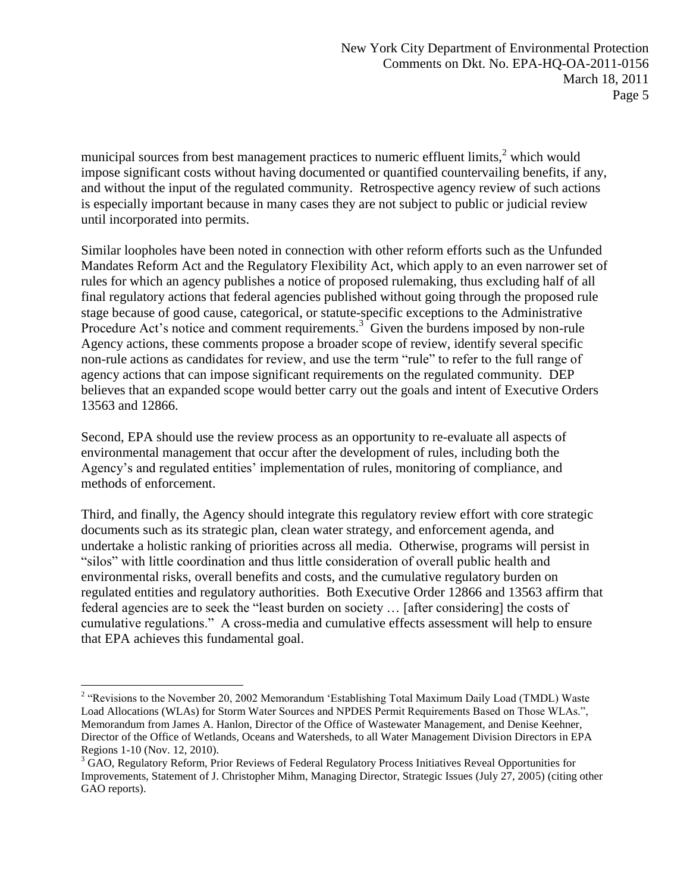municipal sources from best management practices to numeric effluent limits, $2$  which would impose significant costs without having documented or quantified countervailing benefits, if any, and without the input of the regulated community. Retrospective agency review of such actions is especially important because in many cases they are not subject to public or judicial review until incorporated into permits.

Similar loopholes have been noted in connection with other reform efforts such as the Unfunded Mandates Reform Act and the Regulatory Flexibility Act, which apply to an even narrower set of rules for which an agency publishes a notice of proposed rulemaking, thus excluding half of all final regulatory actions that federal agencies published without going through the proposed rule stage because of good cause, categorical, or statute-specific exceptions to the Administrative Procedure Act's notice and comment requirements.<sup>3</sup> Given the burdens imposed by non-rule Agency actions, these comments propose a broader scope of review, identify several specific non-rule actions as candidates for review, and use the term "rule" to refer to the full range of agency actions that can impose significant requirements on the regulated community. DEP believes that an expanded scope would better carry out the goals and intent of Executive Orders 13563 and 12866.

Second, EPA should use the review process as an opportunity to re-evaluate all aspects of environmental management that occur after the development of rules, including both the Agency's and regulated entities' implementation of rules, monitoring of compliance, and methods of enforcement.

Third, and finally, the Agency should integrate this regulatory review effort with core strategic documents such as its strategic plan, clean water strategy, and enforcement agenda, and undertake a holistic ranking of priorities across all media. Otherwise, programs will persist in "silos" with little coordination and thus little consideration of overall public health and environmental risks, overall benefits and costs, and the cumulative regulatory burden on regulated entities and regulatory authorities. Both Executive Order 12866 and 13563 affirm that federal agencies are to seek the "least burden on society ... [after considering] the costs of cumulative regulations.‖ A cross-media and cumulative effects assessment will help to ensure that EPA achieves this fundamental goal.

 $\overline{a}$ 

<sup>&</sup>lt;sup>2</sup> "Revisions to the November 20, 2002 Memorandum 'Establishing Total Maximum Daily Load (TMDL) Waste Load Allocations (WLAs) for Storm Water Sources and NPDES Permit Requirements Based on Those WLAs.", Memorandum from James A. Hanlon, Director of the Office of Wastewater Management, and Denise Keehner, Director of the Office of Wetlands, Oceans and Watersheds, to all Water Management Division Directors in EPA Regions 1-10 (Nov. 12, 2010).

<sup>&</sup>lt;sup>3</sup> GAO, Regulatory Reform, Prior Reviews of Federal Regulatory Process Initiatives Reveal Opportunities for Improvements, Statement of J. Christopher Mihm, Managing Director, Strategic Issues (July 27, 2005) (citing other GAO reports).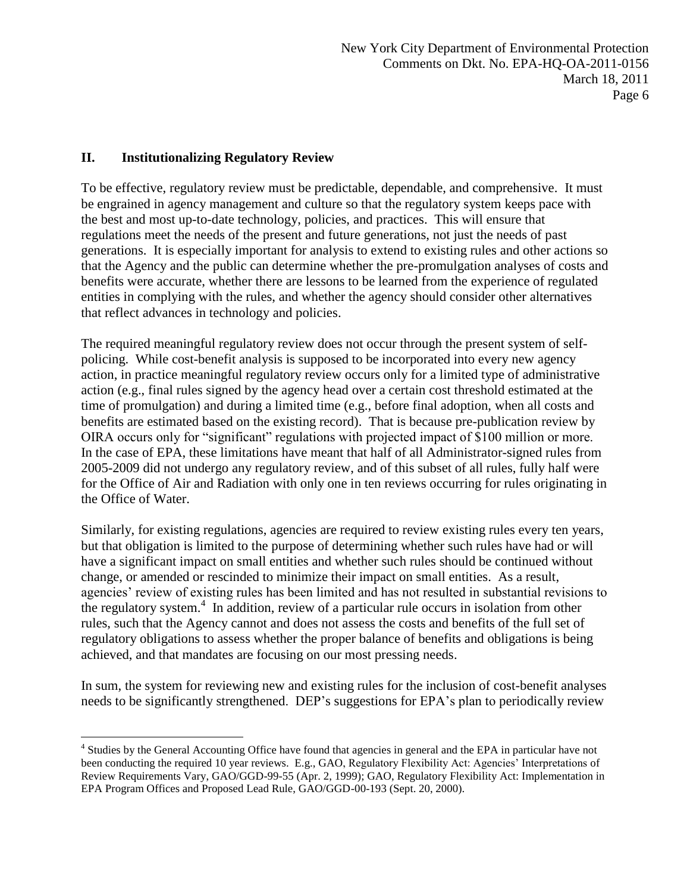## **II. Institutionalizing Regulatory Review**

To be effective, regulatory review must be predictable, dependable, and comprehensive. It must be engrained in agency management and culture so that the regulatory system keeps pace with the best and most up-to-date technology, policies, and practices. This will ensure that regulations meet the needs of the present and future generations, not just the needs of past generations. It is especially important for analysis to extend to existing rules and other actions so that the Agency and the public can determine whether the pre-promulgation analyses of costs and benefits were accurate, whether there are lessons to be learned from the experience of regulated entities in complying with the rules, and whether the agency should consider other alternatives that reflect advances in technology and policies.

The required meaningful regulatory review does not occur through the present system of selfpolicing. While cost-benefit analysis is supposed to be incorporated into every new agency action, in practice meaningful regulatory review occurs only for a limited type of administrative action (e.g., final rules signed by the agency head over a certain cost threshold estimated at the time of promulgation) and during a limited time (e.g., before final adoption, when all costs and benefits are estimated based on the existing record). That is because pre-publication review by OIRA occurs only for "significant" regulations with projected impact of \$100 million or more. In the case of EPA, these limitations have meant that half of all Administrator-signed rules from 2005-2009 did not undergo any regulatory review, and of this subset of all rules, fully half were for the Office of Air and Radiation with only one in ten reviews occurring for rules originating in the Office of Water.

Similarly, for existing regulations, agencies are required to review existing rules every ten years, but that obligation is limited to the purpose of determining whether such rules have had or will have a significant impact on small entities and whether such rules should be continued without change, or amended or rescinded to minimize their impact on small entities. As a result, agencies' review of existing rules has been limited and has not resulted in substantial revisions to the regulatory system.<sup>4</sup> In addition, review of a particular rule occurs in isolation from other rules, such that the Agency cannot and does not assess the costs and benefits of the full set of regulatory obligations to assess whether the proper balance of benefits and obligations is being achieved, and that mandates are focusing on our most pressing needs.

In sum, the system for reviewing new and existing rules for the inclusion of cost-benefit analyses needs to be significantly strengthened. DEP's suggestions for EPA's plan to periodically review

 $\overline{a}$ <sup>4</sup> Studies by the General Accounting Office have found that agencies in general and the EPA in particular have not been conducting the required 10 year reviews. E.g., GAO, Regulatory Flexibility Act: Agencies' Interpretations of Review Requirements Vary, GAO/GGD-99-55 (Apr. 2, 1999); GAO, Regulatory Flexibility Act: Implementation in EPA Program Offices and Proposed Lead Rule, GAO/GGD-00-193 (Sept. 20, 2000).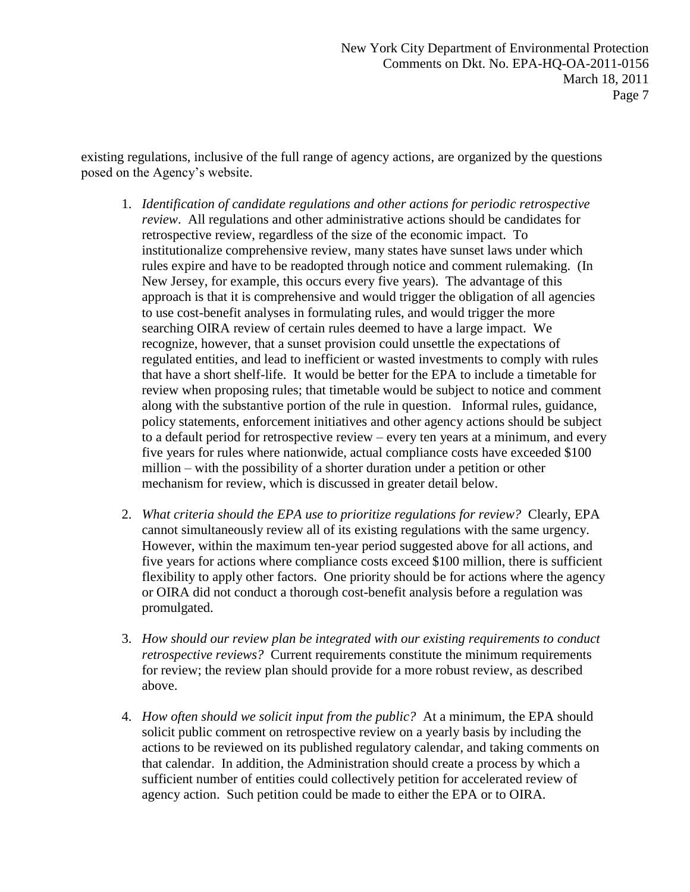existing regulations, inclusive of the full range of agency actions, are organized by the questions posed on the Agency's website.

- 1. *Identification of candidate regulations and other actions for periodic retrospective review*. All regulations and other administrative actions should be candidates for retrospective review, regardless of the size of the economic impact. To institutionalize comprehensive review, many states have sunset laws under which rules expire and have to be readopted through notice and comment rulemaking. (In New Jersey, for example, this occurs every five years). The advantage of this approach is that it is comprehensive and would trigger the obligation of all agencies to use cost-benefit analyses in formulating rules, and would trigger the more searching OIRA review of certain rules deemed to have a large impact. We recognize, however, that a sunset provision could unsettle the expectations of regulated entities, and lead to inefficient or wasted investments to comply with rules that have a short shelf-life. It would be better for the EPA to include a timetable for review when proposing rules; that timetable would be subject to notice and comment along with the substantive portion of the rule in question. Informal rules, guidance, policy statements, enforcement initiatives and other agency actions should be subject to a default period for retrospective review – every ten years at a minimum, and every five years for rules where nationwide, actual compliance costs have exceeded \$100 million – with the possibility of a shorter duration under a petition or other mechanism for review, which is discussed in greater detail below.
- 2. *What criteria should the EPA use to prioritize regulations for review?* Clearly, EPA cannot simultaneously review all of its existing regulations with the same urgency. However, within the maximum ten-year period suggested above for all actions, and five years for actions where compliance costs exceed \$100 million, there is sufficient flexibility to apply other factors. One priority should be for actions where the agency or OIRA did not conduct a thorough cost-benefit analysis before a regulation was promulgated.
- 3. *How should our review plan be integrated with our existing requirements to conduct retrospective reviews?* Current requirements constitute the minimum requirements for review; the review plan should provide for a more robust review, as described above.
- 4. *How often should we solicit input from the public?* At a minimum, the EPA should solicit public comment on retrospective review on a yearly basis by including the actions to be reviewed on its published regulatory calendar, and taking comments on that calendar. In addition, the Administration should create a process by which a sufficient number of entities could collectively petition for accelerated review of agency action. Such petition could be made to either the EPA or to OIRA.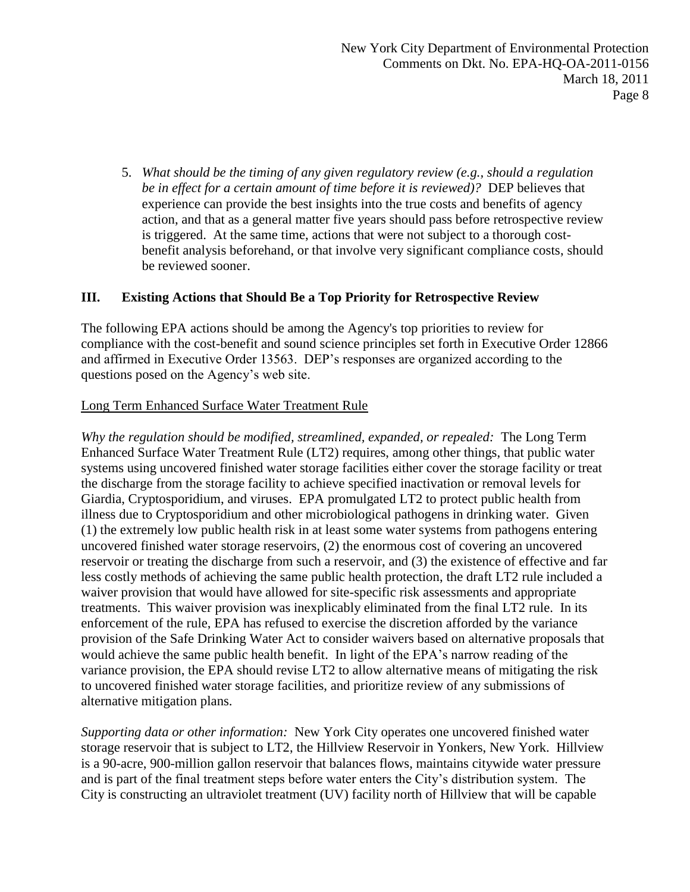5. *What should be the timing of any given regulatory review (e.g., should a regulation be in effect for a certain amount of time before it is reviewed)?* DEP believes that experience can provide the best insights into the true costs and benefits of agency action, and that as a general matter five years should pass before retrospective review is triggered. At the same time, actions that were not subject to a thorough costbenefit analysis beforehand, or that involve very significant compliance costs, should be reviewed sooner.

## **III. Existing Actions that Should Be a Top Priority for Retrospective Review**

The following EPA actions should be among the Agency's top priorities to review for compliance with the cost-benefit and sound science principles set forth in Executive Order 12866 and affirmed in Executive Order 13563. DEP's responses are organized according to the questions posed on the Agency's web site.

#### Long Term Enhanced Surface Water Treatment Rule

*Why the regulation should be modified, streamlined, expanded, or repealed:* The Long Term Enhanced Surface Water Treatment Rule (LT2) requires, among other things, that public water systems using uncovered finished water storage facilities either cover the storage facility or treat the discharge from the storage facility to achieve specified inactivation or removal levels for Giardia, Cryptosporidium, and viruses. EPA promulgated LT2 to protect public health from illness due to Cryptosporidium and other microbiological pathogens in drinking water. Given (1) the extremely low public health risk in at least some water systems from pathogens entering uncovered finished water storage reservoirs, (2) the enormous cost of covering an uncovered reservoir or treating the discharge from such a reservoir, and (3) the existence of effective and far less costly methods of achieving the same public health protection, the draft LT2 rule included a waiver provision that would have allowed for site-specific risk assessments and appropriate treatments. This waiver provision was inexplicably eliminated from the final LT2 rule. In its enforcement of the rule, EPA has refused to exercise the discretion afforded by the variance provision of the Safe Drinking Water Act to consider waivers based on alternative proposals that would achieve the same public health benefit. In light of the EPA's narrow reading of the variance provision, the EPA should revise LT2 to allow alternative means of mitigating the risk to uncovered finished water storage facilities, and prioritize review of any submissions of alternative mitigation plans.

*Supporting data or other information:* New York City operates one uncovered finished water storage reservoir that is subject to LT2, the Hillview Reservoir in Yonkers, New York. Hillview is a 90-acre, 900-million gallon reservoir that balances flows, maintains citywide water pressure and is part of the final treatment steps before water enters the City's distribution system. The City is constructing an ultraviolet treatment (UV) facility north of Hillview that will be capable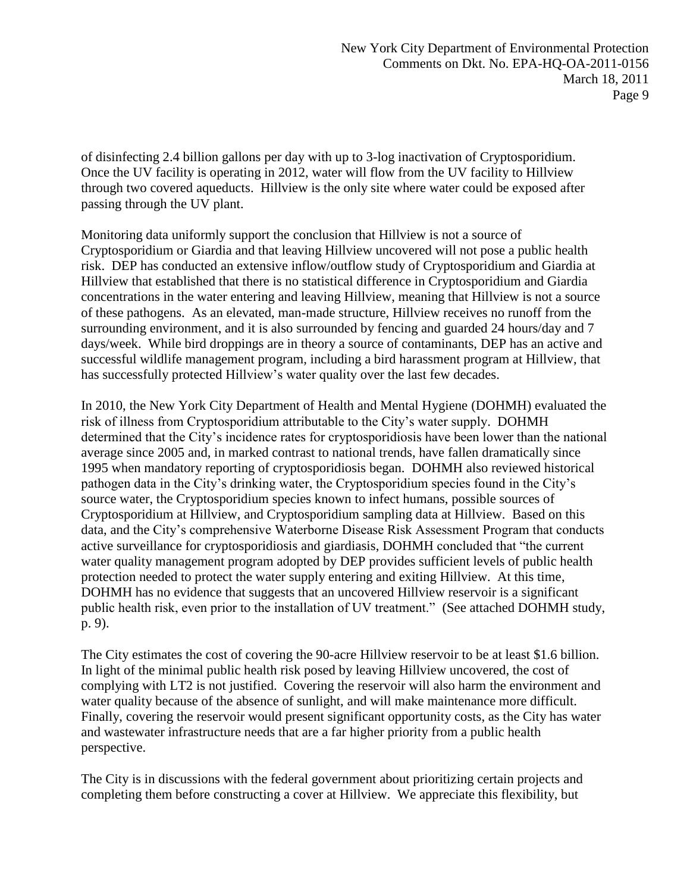of disinfecting 2.4 billion gallons per day with up to 3-log inactivation of Cryptosporidium. Once the UV facility is operating in 2012, water will flow from the UV facility to Hillview through two covered aqueducts. Hillview is the only site where water could be exposed after passing through the UV plant.

Monitoring data uniformly support the conclusion that Hillview is not a source of Cryptosporidium or Giardia and that leaving Hillview uncovered will not pose a public health risk. DEP has conducted an extensive inflow/outflow study of Cryptosporidium and Giardia at Hillview that established that there is no statistical difference in Cryptosporidium and Giardia concentrations in the water entering and leaving Hillview, meaning that Hillview is not a source of these pathogens. As an elevated, man-made structure, Hillview receives no runoff from the surrounding environment, and it is also surrounded by fencing and guarded 24 hours/day and 7 days/week. While bird droppings are in theory a source of contaminants, DEP has an active and successful wildlife management program, including a bird harassment program at Hillview, that has successfully protected Hillview's water quality over the last few decades.

In 2010, the New York City Department of Health and Mental Hygiene (DOHMH) evaluated the risk of illness from Cryptosporidium attributable to the City's water supply. DOHMH determined that the City's incidence rates for cryptosporidiosis have been lower than the national average since 2005 and, in marked contrast to national trends, have fallen dramatically since 1995 when mandatory reporting of cryptosporidiosis began. DOHMH also reviewed historical pathogen data in the City's drinking water, the Cryptosporidium species found in the City's source water, the Cryptosporidium species known to infect humans, possible sources of Cryptosporidium at Hillview, and Cryptosporidium sampling data at Hillview. Based on this data, and the City's comprehensive Waterborne Disease Risk Assessment Program that conducts active surveillance for cryptosporidiosis and giardiasis, DOHMH concluded that "the current water quality management program adopted by DEP provides sufficient levels of public health protection needed to protect the water supply entering and exiting Hillview. At this time, DOHMH has no evidence that suggests that an uncovered Hillview reservoir is a significant public health risk, even prior to the installation of UV treatment." (See attached DOHMH study, p. 9).

The City estimates the cost of covering the 90-acre Hillview reservoir to be at least \$1.6 billion. In light of the minimal public health risk posed by leaving Hillview uncovered, the cost of complying with LT2 is not justified. Covering the reservoir will also harm the environment and water quality because of the absence of sunlight, and will make maintenance more difficult. Finally, covering the reservoir would present significant opportunity costs, as the City has water and wastewater infrastructure needs that are a far higher priority from a public health perspective.

The City is in discussions with the federal government about prioritizing certain projects and completing them before constructing a cover at Hillview. We appreciate this flexibility, but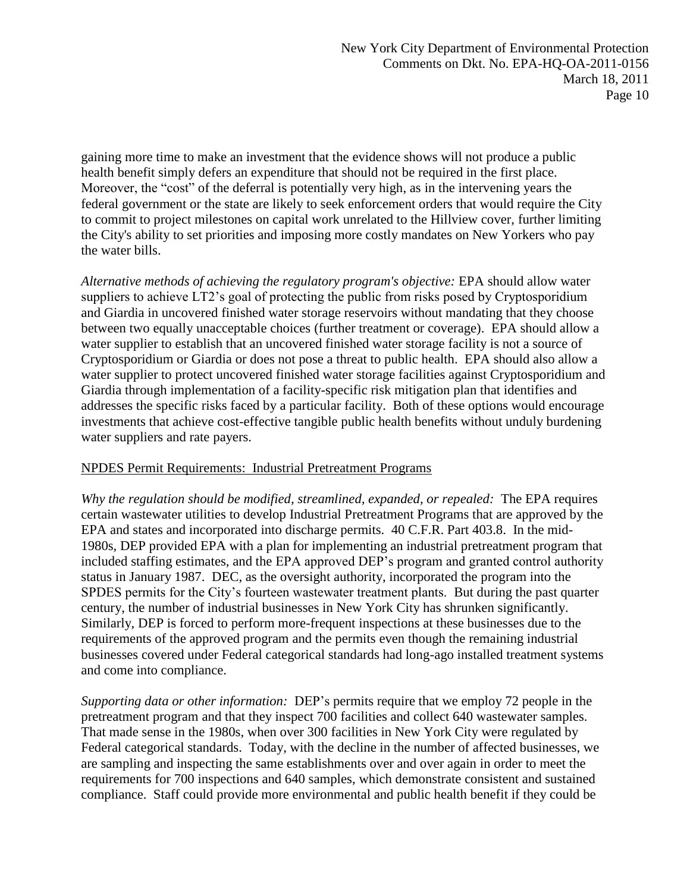gaining more time to make an investment that the evidence shows will not produce a public health benefit simply defers an expenditure that should not be required in the first place. Moreover, the "cost" of the deferral is potentially very high, as in the intervening years the federal government or the state are likely to seek enforcement orders that would require the City to commit to project milestones on capital work unrelated to the Hillview cover, further limiting the City's ability to set priorities and imposing more costly mandates on New Yorkers who pay the water bills.

*Alternative methods of achieving the regulatory program's objective:* EPA should allow water suppliers to achieve LT2's goal of protecting the public from risks posed by Cryptosporidium and Giardia in uncovered finished water storage reservoirs without mandating that they choose between two equally unacceptable choices (further treatment or coverage). EPA should allow a water supplier to establish that an uncovered finished water storage facility is not a source of Cryptosporidium or Giardia or does not pose a threat to public health. EPA should also allow a water supplier to protect uncovered finished water storage facilities against Cryptosporidium and Giardia through implementation of a facility-specific risk mitigation plan that identifies and addresses the specific risks faced by a particular facility. Both of these options would encourage investments that achieve cost-effective tangible public health benefits without unduly burdening water suppliers and rate payers.

## NPDES Permit Requirements: Industrial Pretreatment Programs

*Why the regulation should be modified, streamlined, expanded, or repealed:* The EPA requires certain wastewater utilities to develop Industrial Pretreatment Programs that are approved by the EPA and states and incorporated into discharge permits. 40 C.F.R. Part 403.8. In the mid-1980s, DEP provided EPA with a plan for implementing an industrial pretreatment program that included staffing estimates, and the EPA approved DEP's program and granted control authority status in January 1987. DEC, as the oversight authority, incorporated the program into the SPDES permits for the City's fourteen wastewater treatment plants. But during the past quarter century, the number of industrial businesses in New York City has shrunken significantly. Similarly, DEP is forced to perform more-frequent inspections at these businesses due to the requirements of the approved program and the permits even though the remaining industrial businesses covered under Federal categorical standards had long-ago installed treatment systems and come into compliance.

*Supporting data or other information:* DEP's permits require that we employ 72 people in the pretreatment program and that they inspect 700 facilities and collect 640 wastewater samples. That made sense in the 1980s, when over 300 facilities in New York City were regulated by Federal categorical standards. Today, with the decline in the number of affected businesses, we are sampling and inspecting the same establishments over and over again in order to meet the requirements for 700 inspections and 640 samples, which demonstrate consistent and sustained compliance. Staff could provide more environmental and public health benefit if they could be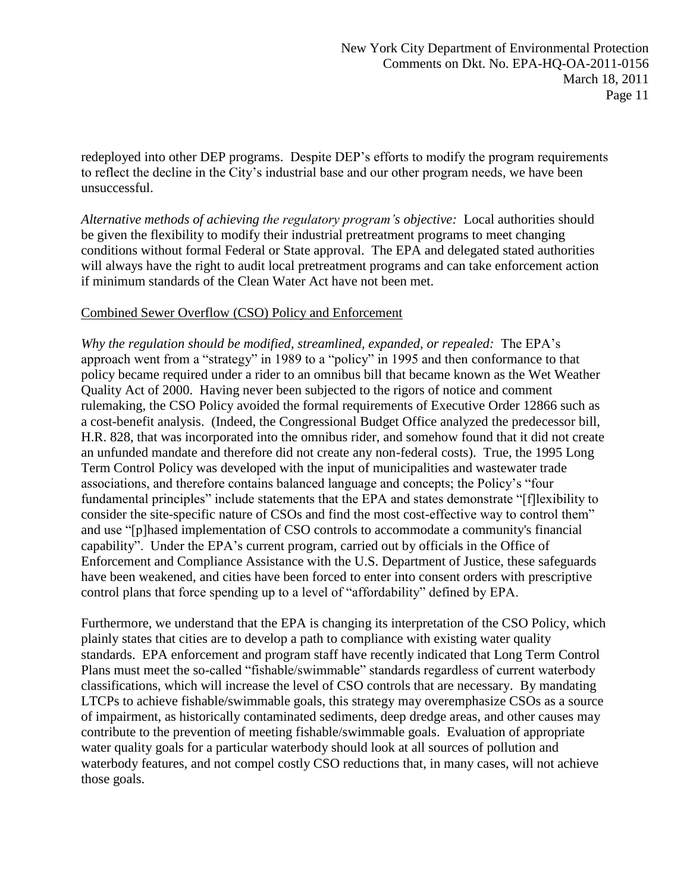redeployed into other DEP programs. Despite DEP's efforts to modify the program requirements to reflect the decline in the City's industrial base and our other program needs, we have been unsuccessful.

*Alternative methods of achieving the regulatory program's objective:* Local authorities should be given the flexibility to modify their industrial pretreatment programs to meet changing conditions without formal Federal or State approval. The EPA and delegated stated authorities will always have the right to audit local pretreatment programs and can take enforcement action if minimum standards of the Clean Water Act have not been met.

#### Combined Sewer Overflow (CSO) Policy and Enforcement

*Why the regulation should be modified, streamlined, expanded, or repealed:* The EPA's approach went from a "strategy" in 1989 to a "policy" in 1995 and then conformance to that policy became required under a rider to an omnibus bill that became known as the Wet Weather Quality Act of 2000. Having never been subjected to the rigors of notice and comment rulemaking, the CSO Policy avoided the formal requirements of Executive Order 12866 such as a cost-benefit analysis. (Indeed, the Congressional Budget Office analyzed the predecessor bill, H.R. 828, that was incorporated into the omnibus rider, and somehow found that it did not create an unfunded mandate and therefore did not create any non-federal costs). True, the 1995 Long Term Control Policy was developed with the input of municipalities and wastewater trade associations, and therefore contains balanced language and concepts; the Policy's "four fundamental principles" include statements that the EPA and states demonstrate "[f]lexibility to consider the site-specific nature of CSOs and find the most cost-effective way to control them<sup>"</sup> and use "[p]hased implementation of CSO controls to accommodate a community's financial capability". Under the EPA's current program, carried out by officials in the Office of Enforcement and Compliance Assistance with the U.S. Department of Justice, these safeguards have been weakened, and cities have been forced to enter into consent orders with prescriptive control plans that force spending up to a level of "affordability" defined by EPA.

Furthermore, we understand that the EPA is changing its interpretation of the CSO Policy, which plainly states that cities are to develop a path to compliance with existing water quality standards. EPA enforcement and program staff have recently indicated that Long Term Control Plans must meet the so-called "fishable/swimmable" standards regardless of current waterbody classifications, which will increase the level of CSO controls that are necessary. By mandating LTCPs to achieve fishable/swimmable goals, this strategy may overemphasize CSOs as a source of impairment, as historically contaminated sediments, deep dredge areas, and other causes may contribute to the prevention of meeting fishable/swimmable goals. Evaluation of appropriate water quality goals for a particular waterbody should look at all sources of pollution and waterbody features, and not compel costly CSO reductions that, in many cases, will not achieve those goals.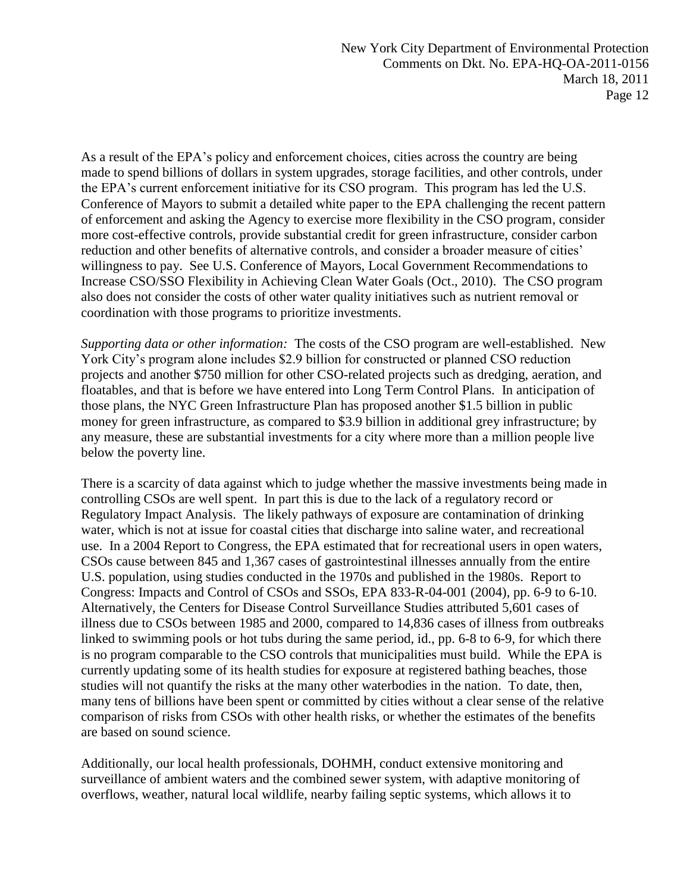As a result of the EPA's policy and enforcement choices, cities across the country are being made to spend billions of dollars in system upgrades, storage facilities, and other controls, under the EPA's current enforcement initiative for its CSO program. This program has led the U.S. Conference of Mayors to submit a detailed white paper to the EPA challenging the recent pattern of enforcement and asking the Agency to exercise more flexibility in the CSO program, consider more cost-effective controls, provide substantial credit for green infrastructure, consider carbon reduction and other benefits of alternative controls, and consider a broader measure of cities' willingness to pay. See U.S. Conference of Mayors, Local Government Recommendations to Increase CSO/SSO Flexibility in Achieving Clean Water Goals (Oct., 2010). The CSO program also does not consider the costs of other water quality initiatives such as nutrient removal or coordination with those programs to prioritize investments.

*Supporting data or other information:* The costs of the CSO program are well-established. New York City's program alone includes \$2.9 billion for constructed or planned CSO reduction projects and another \$750 million for other CSO-related projects such as dredging, aeration, and floatables, and that is before we have entered into Long Term Control Plans. In anticipation of those plans, the NYC Green Infrastructure Plan has proposed another \$1.5 billion in public money for green infrastructure, as compared to \$3.9 billion in additional grey infrastructure; by any measure, these are substantial investments for a city where more than a million people live below the poverty line.

There is a scarcity of data against which to judge whether the massive investments being made in controlling CSOs are well spent. In part this is due to the lack of a regulatory record or Regulatory Impact Analysis. The likely pathways of exposure are contamination of drinking water, which is not at issue for coastal cities that discharge into saline water, and recreational use. In a 2004 Report to Congress, the EPA estimated that for recreational users in open waters, CSOs cause between 845 and 1,367 cases of gastrointestinal illnesses annually from the entire U.S. population, using studies conducted in the 1970s and published in the 1980s. Report to Congress: Impacts and Control of CSOs and SSOs, EPA 833-R-04-001 (2004), pp. 6-9 to 6-10. Alternatively, the Centers for Disease Control Surveillance Studies attributed 5,601 cases of illness due to CSOs between 1985 and 2000, compared to 14,836 cases of illness from outbreaks linked to swimming pools or hot tubs during the same period, id., pp. 6-8 to 6-9, for which there is no program comparable to the CSO controls that municipalities must build. While the EPA is currently updating some of its health studies for exposure at registered bathing beaches, those studies will not quantify the risks at the many other waterbodies in the nation. To date, then, many tens of billions have been spent or committed by cities without a clear sense of the relative comparison of risks from CSOs with other health risks, or whether the estimates of the benefits are based on sound science.

Additionally, our local health professionals, DOHMH, conduct extensive monitoring and surveillance of ambient waters and the combined sewer system, with adaptive monitoring of overflows, weather, natural local wildlife, nearby failing septic systems, which allows it to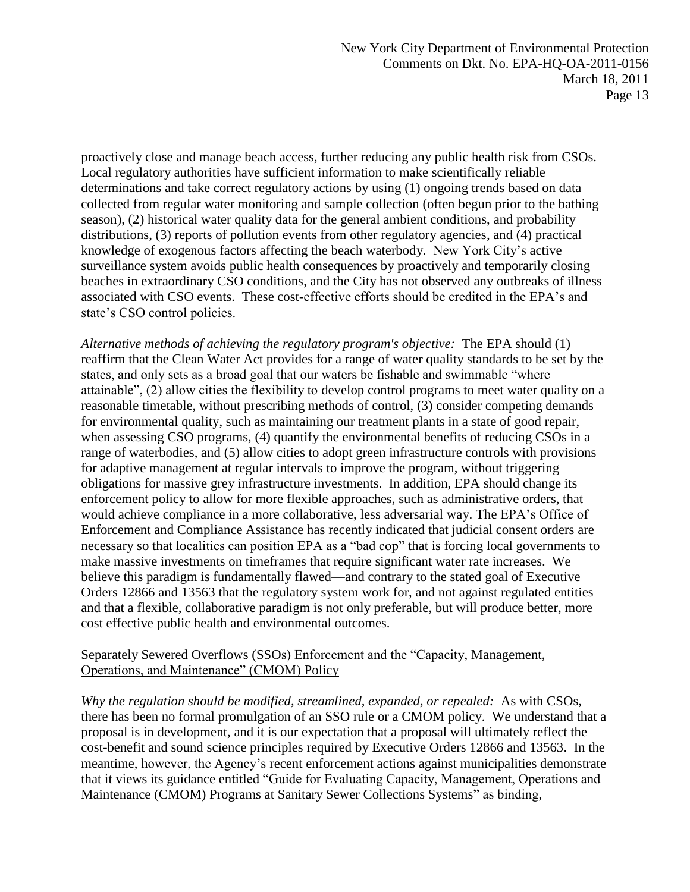proactively close and manage beach access, further reducing any public health risk from CSOs. Local regulatory authorities have sufficient information to make scientifically reliable determinations and take correct regulatory actions by using (1) ongoing trends based on data collected from regular water monitoring and sample collection (often begun prior to the bathing season), (2) historical water quality data for the general ambient conditions, and probability distributions, (3) reports of pollution events from other regulatory agencies, and (4) practical knowledge of exogenous factors affecting the beach waterbody. New York City's active surveillance system avoids public health consequences by proactively and temporarily closing beaches in extraordinary CSO conditions, and the City has not observed any outbreaks of illness associated with CSO events. These cost-effective efforts should be credited in the EPA's and state's CSO control policies.

*Alternative methods of achieving the regulatory program's objective:* The EPA should (1) reaffirm that the Clean Water Act provides for a range of water quality standards to be set by the states, and only sets as a broad goal that our waters be fishable and swimmable "where attainable", (2) allow cities the flexibility to develop control programs to meet water quality on a reasonable timetable, without prescribing methods of control, (3) consider competing demands for environmental quality, such as maintaining our treatment plants in a state of good repair, when assessing CSO programs, (4) quantify the environmental benefits of reducing CSOs in a range of waterbodies, and (5) allow cities to adopt green infrastructure controls with provisions for adaptive management at regular intervals to improve the program, without triggering obligations for massive grey infrastructure investments. In addition, EPA should change its enforcement policy to allow for more flexible approaches, such as administrative orders, that would achieve compliance in a more collaborative, less adversarial way. The EPA's Office of Enforcement and Compliance Assistance has recently indicated that judicial consent orders are necessary so that localities can position EPA as a "bad cop" that is forcing local governments to make massive investments on timeframes that require significant water rate increases. We believe this paradigm is fundamentally flawed—and contrary to the stated goal of Executive Orders 12866 and 13563 that the regulatory system work for, and not against regulated entities and that a flexible, collaborative paradigm is not only preferable, but will produce better, more cost effective public health and environmental outcomes.

#### Separately Sewered Overflows (SSOs) Enforcement and the "Capacity, Management, Operations, and Maintenance" (CMOM) Policy

*Why the regulation should be modified, streamlined, expanded, or repealed:* As with CSOs, there has been no formal promulgation of an SSO rule or a CMOM policy. We understand that a proposal is in development, and it is our expectation that a proposal will ultimately reflect the cost-benefit and sound science principles required by Executive Orders 12866 and 13563. In the meantime, however, the Agency's recent enforcement actions against municipalities demonstrate that it views its guidance entitled "Guide for Evaluating Capacity, Management, Operations and Maintenance (CMOM) Programs at Sanitary Sewer Collections Systems" as binding,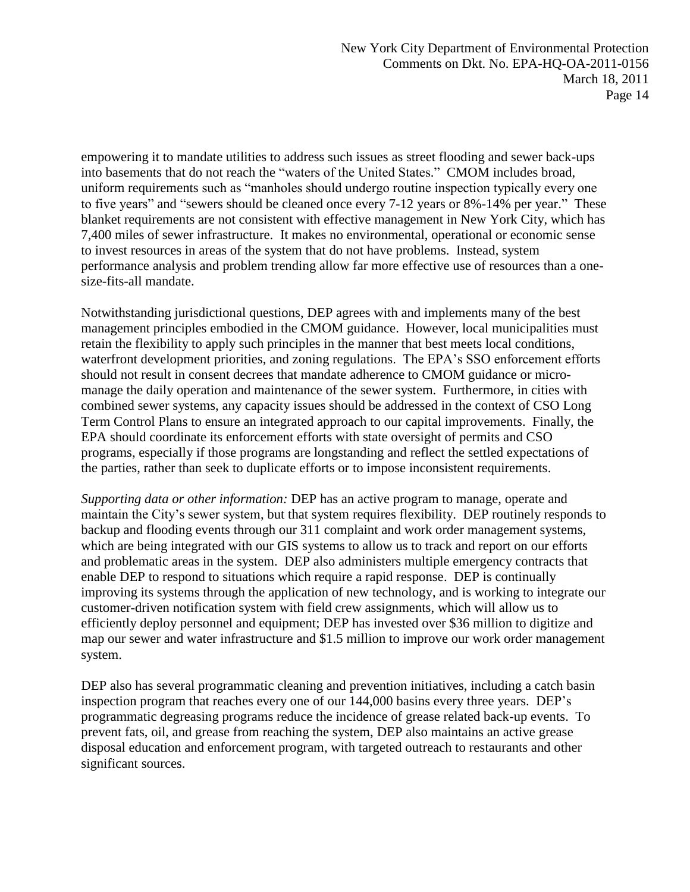empowering it to mandate utilities to address such issues as street flooding and sewer back-ups into basements that do not reach the "waters of the United States." CMOM includes broad, uniform requirements such as "manholes should undergo routine inspection typically every one to five years" and "sewers should be cleaned once every 7-12 years or 8%-14% per year." These blanket requirements are not consistent with effective management in New York City, which has 7,400 miles of sewer infrastructure. It makes no environmental, operational or economic sense to invest resources in areas of the system that do not have problems. Instead, system performance analysis and problem trending allow far more effective use of resources than a onesize-fits-all mandate.

Notwithstanding jurisdictional questions, DEP agrees with and implements many of the best management principles embodied in the CMOM guidance. However, local municipalities must retain the flexibility to apply such principles in the manner that best meets local conditions, waterfront development priorities, and zoning regulations. The EPA's SSO enforcement efforts should not result in consent decrees that mandate adherence to CMOM guidance or micromanage the daily operation and maintenance of the sewer system. Furthermore, in cities with combined sewer systems, any capacity issues should be addressed in the context of CSO Long Term Control Plans to ensure an integrated approach to our capital improvements. Finally, the EPA should coordinate its enforcement efforts with state oversight of permits and CSO programs, especially if those programs are longstanding and reflect the settled expectations of the parties, rather than seek to duplicate efforts or to impose inconsistent requirements.

*Supporting data or other information:* DEP has an active program to manage, operate and maintain the City's sewer system, but that system requires flexibility. DEP routinely responds to backup and flooding events through our 311 complaint and work order management systems, which are being integrated with our GIS systems to allow us to track and report on our efforts and problematic areas in the system. DEP also administers multiple emergency contracts that enable DEP to respond to situations which require a rapid response. DEP is continually improving its systems through the application of new technology, and is working to integrate our customer-driven notification system with field crew assignments, which will allow us to efficiently deploy personnel and equipment; DEP has invested over \$36 million to digitize and map our sewer and water infrastructure and \$1.5 million to improve our work order management system.

DEP also has several programmatic cleaning and prevention initiatives, including a catch basin inspection program that reaches every one of our 144,000 basins every three years. DEP's programmatic degreasing programs reduce the incidence of grease related back-up events. To prevent fats, oil, and grease from reaching the system, DEP also maintains an active grease disposal education and enforcement program, with targeted outreach to restaurants and other significant sources.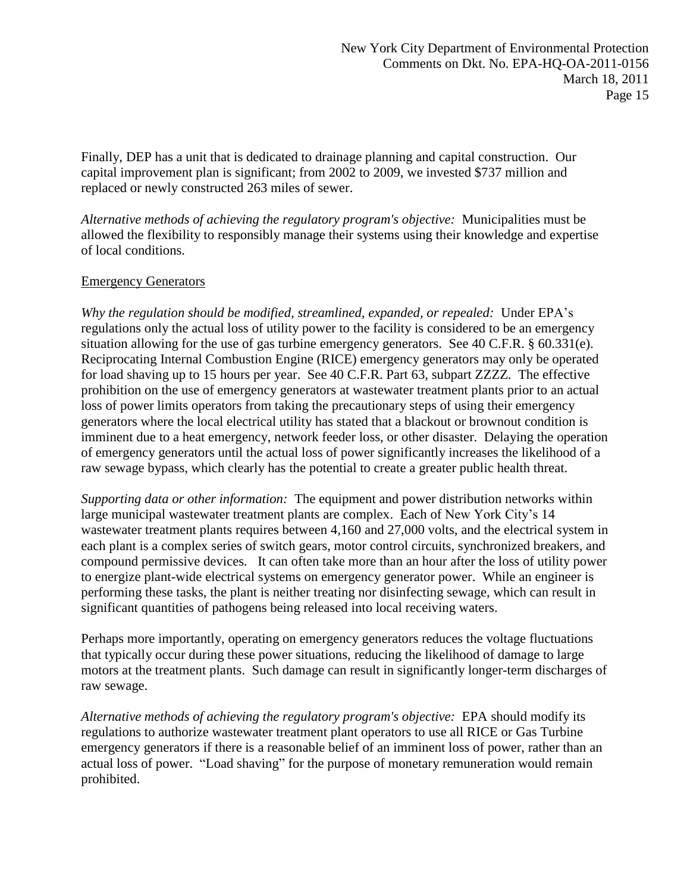Finally, DEP has a unit that is dedicated to drainage planning and capital construction. Our capital improvement plan is significant; from 2002 to 2009, we invested \$737 million and replaced or newly constructed 263 miles of sewer.

*Alternative methods of achieving the regulatory program's objective:* Municipalities must be allowed the flexibility to responsibly manage their systems using their knowledge and expertise of local conditions.

#### Emergency Generators

*Why the regulation should be modified, streamlined, expanded, or repealed:* Under EPA's regulations only the actual loss of utility power to the facility is considered to be an emergency situation allowing for the use of gas turbine emergency generators. See 40 C.F.R. § 60.331(e). Reciprocating Internal Combustion Engine (RICE) emergency generators may only be operated for load shaving up to 15 hours per year. See 40 C.F.R. Part 63, subpart ZZZZ. The effective prohibition on the use of emergency generators at wastewater treatment plants prior to an actual loss of power limits operators from taking the precautionary steps of using their emergency generators where the local electrical utility has stated that a blackout or brownout condition is imminent due to a heat emergency, network feeder loss, or other disaster. Delaying the operation of emergency generators until the actual loss of power significantly increases the likelihood of a raw sewage bypass, which clearly has the potential to create a greater public health threat.

*Supporting data or other information:* The equipment and power distribution networks within large municipal wastewater treatment plants are complex. Each of New York City's 14 wastewater treatment plants requires between 4,160 and 27,000 volts, and the electrical system in each plant is a complex series of switch gears, motor control circuits, synchronized breakers, and compound permissive devices. It can often take more than an hour after the loss of utility power to energize plant-wide electrical systems on emergency generator power. While an engineer is performing these tasks, the plant is neither treating nor disinfecting sewage, which can result in significant quantities of pathogens being released into local receiving waters.

Perhaps more importantly, operating on emergency generators reduces the voltage fluctuations that typically occur during these power situations, reducing the likelihood of damage to large motors at the treatment plants. Such damage can result in significantly longer-term discharges of raw sewage.

*Alternative methods of achieving the regulatory program's objective:* EPA should modify its regulations to authorize wastewater treatment plant operators to use all RICE or Gas Turbine emergency generators if there is a reasonable belief of an imminent loss of power, rather than an actual loss of power. "Load shaving" for the purpose of monetary remuneration would remain prohibited.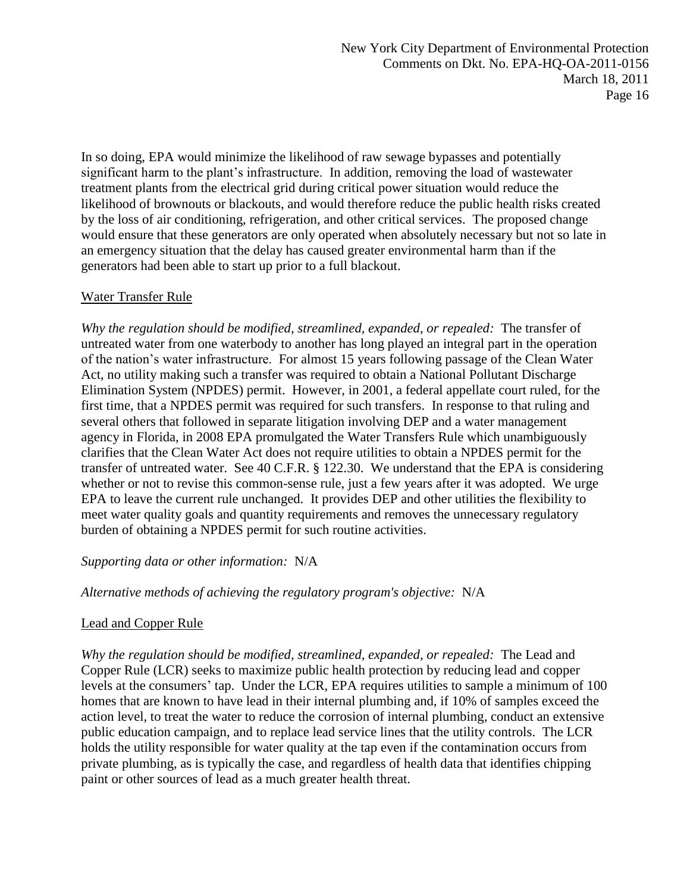In so doing, EPA would minimize the likelihood of raw sewage bypasses and potentially significant harm to the plant's infrastructure. In addition, removing the load of wastewater treatment plants from the electrical grid during critical power situation would reduce the likelihood of brownouts or blackouts, and would therefore reduce the public health risks created by the loss of air conditioning, refrigeration, and other critical services. The proposed change would ensure that these generators are only operated when absolutely necessary but not so late in an emergency situation that the delay has caused greater environmental harm than if the generators had been able to start up prior to a full blackout.

## Water Transfer Rule

*Why the regulation should be modified, streamlined, expanded, or repealed:* The transfer of untreated water from one waterbody to another has long played an integral part in the operation of the nation's water infrastructure. For almost 15 years following passage of the Clean Water Act, no utility making such a transfer was required to obtain a National Pollutant Discharge Elimination System (NPDES) permit. However, in 2001, a federal appellate court ruled, for the first time, that a NPDES permit was required for such transfers. In response to that ruling and several others that followed in separate litigation involving DEP and a water management agency in Florida, in 2008 EPA promulgated the Water Transfers Rule which unambiguously clarifies that the Clean Water Act does not require utilities to obtain a NPDES permit for the transfer of untreated water. See 40 C.F.R. § 122.30. We understand that the EPA is considering whether or not to revise this common-sense rule, just a few years after it was adopted. We urge EPA to leave the current rule unchanged. It provides DEP and other utilities the flexibility to meet water quality goals and quantity requirements and removes the unnecessary regulatory burden of obtaining a NPDES permit for such routine activities.

## *Supporting data or other information:* N/A

*Alternative methods of achieving the regulatory program's objective:* N/A

## Lead and Copper Rule

*Why the regulation should be modified, streamlined, expanded, or repealed:* The Lead and Copper Rule (LCR) seeks to maximize public health protection by reducing lead and copper levels at the consumers' tap. Under the LCR, EPA requires utilities to sample a minimum of 100 homes that are known to have lead in their internal plumbing and, if 10% of samples exceed the action level, to treat the water to reduce the corrosion of internal plumbing, conduct an extensive public education campaign, and to replace lead service lines that the utility controls. The LCR holds the utility responsible for water quality at the tap even if the contamination occurs from private plumbing, as is typically the case, and regardless of health data that identifies chipping paint or other sources of lead as a much greater health threat.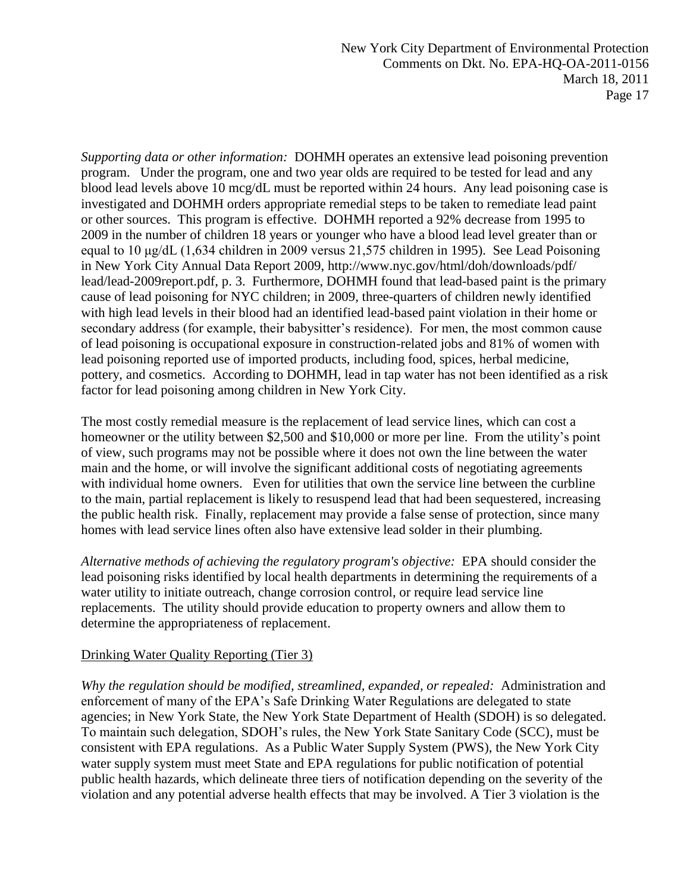*Supporting data or other information:* DOHMH operates an extensive lead poisoning prevention program. Under the program, one and two year olds are required to be tested for lead and any blood lead levels above 10 mcg/dL must be reported within 24 hours. Any lead poisoning case is investigated and DOHMH orders appropriate remedial steps to be taken to remediate lead paint or other sources. This program is effective. DOHMH reported a 92% decrease from 1995 to 2009 in the number of children 18 years or younger who have a blood lead level greater than or equal to 10 μg/dL (1,634 children in 2009 versus 21,575 children in 1995). See Lead Poisoning in New York City Annual Data Report 2009, http://www.nyc.gov/html/doh/downloads/pdf/ lead/lead-2009report.pdf, p. 3. Furthermore, DOHMH found that lead-based paint is the primary cause of lead poisoning for NYC children; in 2009, three-quarters of children newly identified with high lead levels in their blood had an identified lead-based paint violation in their home or secondary address (for example, their babysitter's residence). For men, the most common cause of lead poisoning is occupational exposure in construction-related jobs and 81% of women with lead poisoning reported use of imported products, including food, spices, herbal medicine, pottery, and cosmetics. According to DOHMH, lead in tap water has not been identified as a risk factor for lead poisoning among children in New York City.

The most costly remedial measure is the replacement of lead service lines, which can cost a homeowner or the utility between \$2,500 and \$10,000 or more per line. From the utility's point of view, such programs may not be possible where it does not own the line between the water main and the home, or will involve the significant additional costs of negotiating agreements with individual home owners. Even for utilities that own the service line between the curbline to the main, partial replacement is likely to resuspend lead that had been sequestered, increasing the public health risk. Finally, replacement may provide a false sense of protection, since many homes with lead service lines often also have extensive lead solder in their plumbing.

*Alternative methods of achieving the regulatory program's objective:* EPA should consider the lead poisoning risks identified by local health departments in determining the requirements of a water utility to initiate outreach, change corrosion control, or require lead service line replacements. The utility should provide education to property owners and allow them to determine the appropriateness of replacement.

## Drinking Water Quality Reporting (Tier 3)

*Why the regulation should be modified, streamlined, expanded, or repealed:* Administration and enforcement of many of the EPA's Safe Drinking Water Regulations are delegated to state agencies; in New York State, the New York State Department of Health (SDOH) is so delegated. To maintain such delegation, SDOH's rules, the New York State Sanitary Code (SCC), must be consistent with EPA regulations. As a Public Water Supply System (PWS), the New York City water supply system must meet State and EPA regulations for public notification of potential public health hazards, which delineate three tiers of notification depending on the severity of the violation and any potential adverse health effects that may be involved. A Tier 3 violation is the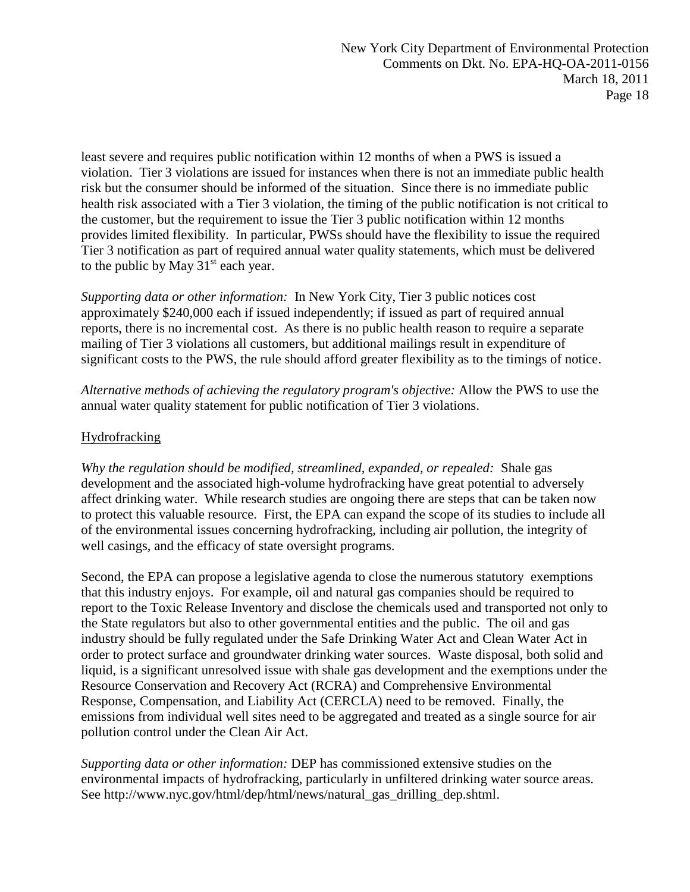least severe and requires public notification within 12 months of when a PWS is issued a violation. Tier 3 violations are issued for instances when there is not an immediate public health risk but the consumer should be informed of the situation. Since there is no immediate public health risk associated with a Tier 3 violation, the timing of the public notification is not critical to the customer, but the requirement to issue the Tier 3 public notification within 12 months provides limited flexibility. In particular, PWSs should have the flexibility to issue the required Tier 3 notification as part of required annual water quality statements, which must be delivered to the public by May  $31<sup>st</sup>$  each year.

*Supporting data or other information:* In New York City, Tier 3 public notices cost approximately \$240,000 each if issued independently; if issued as part of required annual reports, there is no incremental cost. As there is no public health reason to require a separate mailing of Tier 3 violations all customers, but additional mailings result in expenditure of significant costs to the PWS, the rule should afford greater flexibility as to the timings of notice.

*Alternative methods of achieving the regulatory program's objective:* Allow the PWS to use the annual water quality statement for public notification of Tier 3 violations.

## Hydrofracking

*Why the regulation should be modified, streamlined, expanded, or repealed:* Shale gas development and the associated high-volume hydrofracking have great potential to adversely affect drinking water. While research studies are ongoing there are steps that can be taken now to protect this valuable resource. First, the EPA can expand the scope of its studies to include all of the environmental issues concerning hydrofracking, including air pollution, the integrity of well casings, and the efficacy of state oversight programs.

Second, the EPA can propose a legislative agenda to close the numerous statutory exemptions that this industry enjoys. For example, oil and natural gas companies should be required to report to the Toxic Release Inventory and disclose the chemicals used and transported not only to the State regulators but also to other governmental entities and the public. The oil and gas industry should be fully regulated under the Safe Drinking Water Act and Clean Water Act in order to protect surface and groundwater drinking water sources. Waste disposal, both solid and liquid, is a significant unresolved issue with shale gas development and the exemptions under the Resource Conservation and Recovery Act (RCRA) and Comprehensive Environmental Response, Compensation, and Liability Act (CERCLA) need to be removed. Finally, the emissions from individual well sites need to be aggregated and treated as a single source for air pollution control under the Clean Air Act.

*Supporting data or other information:* DEP has commissioned extensive studies on the environmental impacts of hydrofracking, particularly in unfiltered drinking water source areas. See http://www.nyc.gov/html/dep/html/news/natural\_gas\_drilling\_dep.shtml.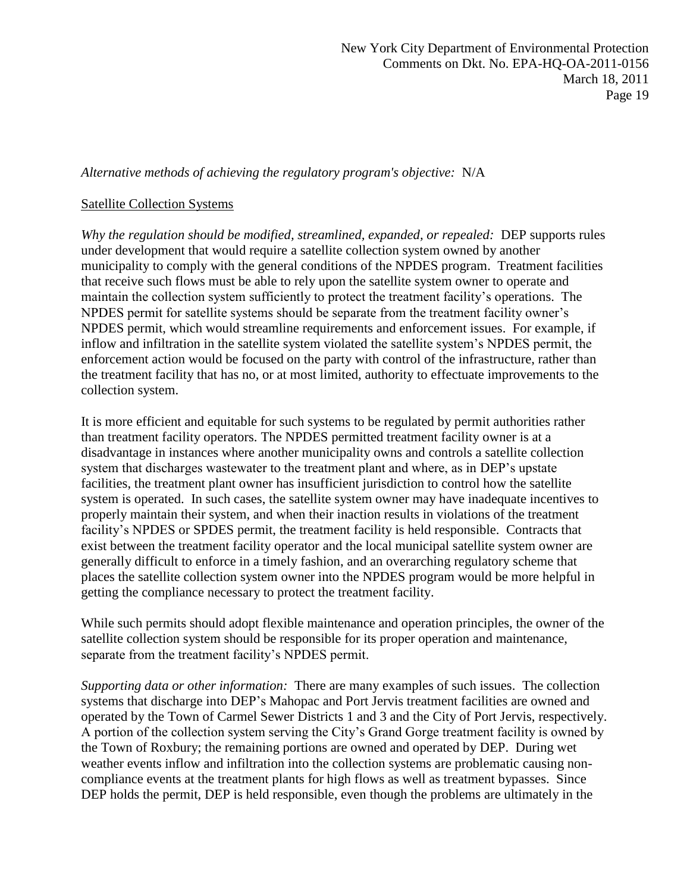*Alternative methods of achieving the regulatory program's objective:* N/A

#### Satellite Collection Systems

*Why the regulation should be modified, streamlined, expanded, or repealed:* DEP supports rules under development that would require a satellite collection system owned by another municipality to comply with the general conditions of the NPDES program. Treatment facilities that receive such flows must be able to rely upon the satellite system owner to operate and maintain the collection system sufficiently to protect the treatment facility's operations. The NPDES permit for satellite systems should be separate from the treatment facility owner's NPDES permit, which would streamline requirements and enforcement issues. For example, if inflow and infiltration in the satellite system violated the satellite system's NPDES permit, the enforcement action would be focused on the party with control of the infrastructure, rather than the treatment facility that has no, or at most limited, authority to effectuate improvements to the collection system.

It is more efficient and equitable for such systems to be regulated by permit authorities rather than treatment facility operators. The NPDES permitted treatment facility owner is at a disadvantage in instances where another municipality owns and controls a satellite collection system that discharges wastewater to the treatment plant and where, as in DEP's upstate facilities, the treatment plant owner has insufficient jurisdiction to control how the satellite system is operated. In such cases, the satellite system owner may have inadequate incentives to properly maintain their system, and when their inaction results in violations of the treatment facility's NPDES or SPDES permit, the treatment facility is held responsible. Contracts that exist between the treatment facility operator and the local municipal satellite system owner are generally difficult to enforce in a timely fashion, and an overarching regulatory scheme that places the satellite collection system owner into the NPDES program would be more helpful in getting the compliance necessary to protect the treatment facility.

While such permits should adopt flexible maintenance and operation principles, the owner of the satellite collection system should be responsible for its proper operation and maintenance, separate from the treatment facility's NPDES permit.

*Supporting data or other information:* There are many examples of such issues. The collection systems that discharge into DEP's Mahopac and Port Jervis treatment facilities are owned and operated by the Town of Carmel Sewer Districts 1 and 3 and the City of Port Jervis, respectively. A portion of the collection system serving the City's Grand Gorge treatment facility is owned by the Town of Roxbury; the remaining portions are owned and operated by DEP. During wet weather events inflow and infiltration into the collection systems are problematic causing noncompliance events at the treatment plants for high flows as well as treatment bypasses. Since DEP holds the permit, DEP is held responsible, even though the problems are ultimately in the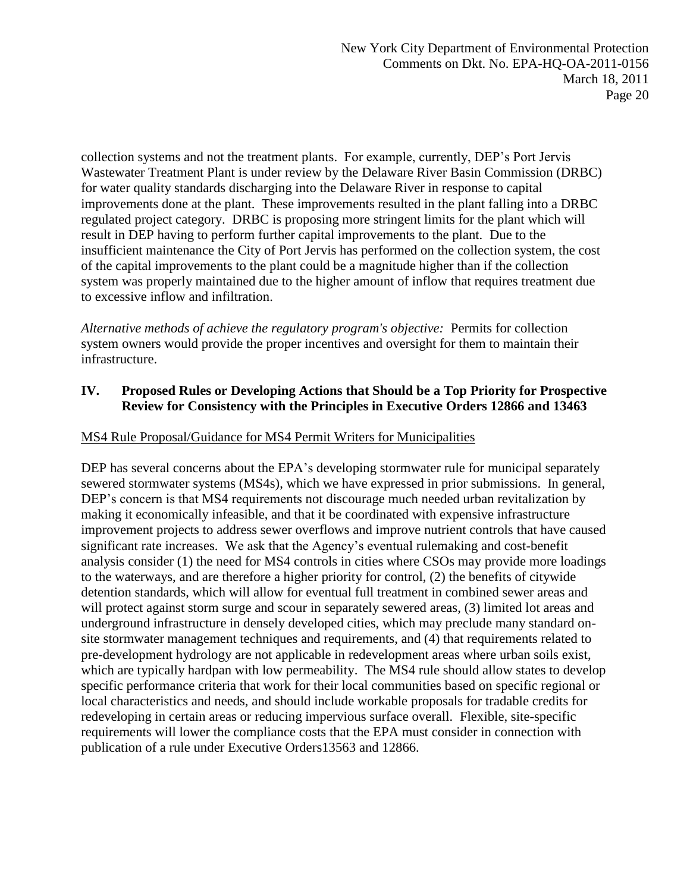collection systems and not the treatment plants. For example, currently, DEP's Port Jervis Wastewater Treatment Plant is under review by the Delaware River Basin Commission (DRBC) for water quality standards discharging into the Delaware River in response to capital improvements done at the plant. These improvements resulted in the plant falling into a DRBC regulated project category. DRBC is proposing more stringent limits for the plant which will result in DEP having to perform further capital improvements to the plant. Due to the insufficient maintenance the City of Port Jervis has performed on the collection system, the cost of the capital improvements to the plant could be a magnitude higher than if the collection system was properly maintained due to the higher amount of inflow that requires treatment due to excessive inflow and infiltration.

*Alternative methods of achieve the regulatory program's objective:* Permits for collection system owners would provide the proper incentives and oversight for them to maintain their infrastructure.

#### **IV. Proposed Rules or Developing Actions that Should be a Top Priority for Prospective Review for Consistency with the Principles in Executive Orders 12866 and 13463**

## MS4 Rule Proposal/Guidance for MS4 Permit Writers for Municipalities

DEP has several concerns about the EPA's developing stormwater rule for municipal separately sewered stormwater systems (MS4s), which we have expressed in prior submissions. In general, DEP's concern is that MS4 requirements not discourage much needed urban revitalization by making it economically infeasible, and that it be coordinated with expensive infrastructure improvement projects to address sewer overflows and improve nutrient controls that have caused significant rate increases. We ask that the Agency's eventual rulemaking and cost-benefit analysis consider (1) the need for MS4 controls in cities where CSOs may provide more loadings to the waterways, and are therefore a higher priority for control, (2) the benefits of citywide detention standards, which will allow for eventual full treatment in combined sewer areas and will protect against storm surge and scour in separately sewered areas, (3) limited lot areas and underground infrastructure in densely developed cities, which may preclude many standard onsite stormwater management techniques and requirements, and (4) that requirements related to pre-development hydrology are not applicable in redevelopment areas where urban soils exist, which are typically hardpan with low permeability. The MS4 rule should allow states to develop specific performance criteria that work for their local communities based on specific regional or local characteristics and needs, and should include workable proposals for tradable credits for redeveloping in certain areas or reducing impervious surface overall. Flexible, site-specific requirements will lower the compliance costs that the EPA must consider in connection with publication of a rule under Executive Orders13563 and 12866.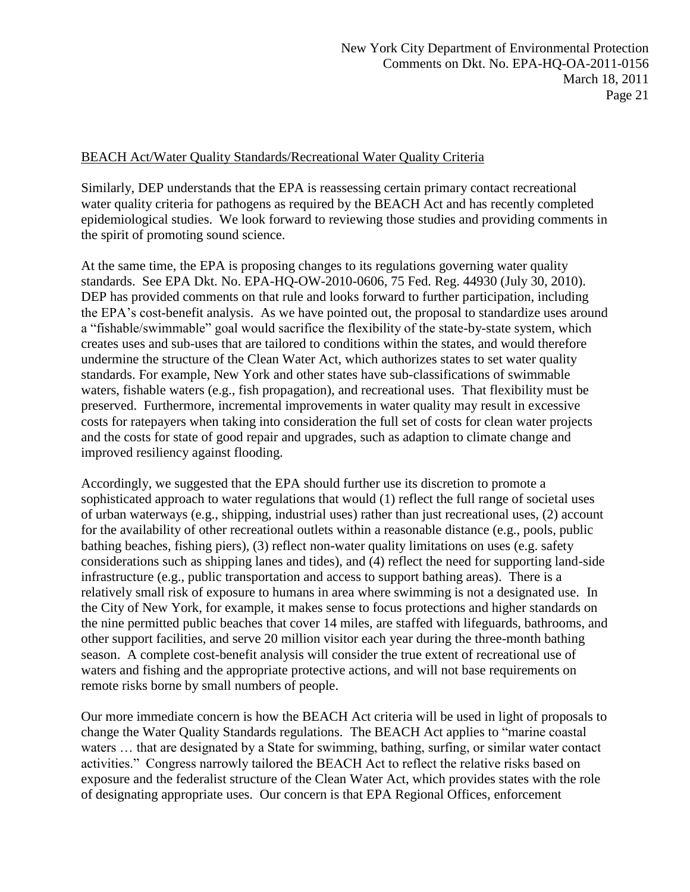#### BEACH Act/Water Quality Standards/Recreational Water Quality Criteria

Similarly, DEP understands that the EPA is reassessing certain primary contact recreational water quality criteria for pathogens as required by the BEACH Act and has recently completed epidemiological studies. We look forward to reviewing those studies and providing comments in the spirit of promoting sound science.

At the same time, the EPA is proposing changes to its regulations governing water quality standards. See EPA Dkt. No. EPA-HQ-OW-2010-0606, 75 Fed. Reg. 44930 (July 30, 2010). DEP has provided comments on that rule and looks forward to further participation, including the EPA's cost-benefit analysis. As we have pointed out, the proposal to standardize uses around a "fishable/swimmable" goal would sacrifice the flexibility of the state-by-state system, which creates uses and sub-uses that are tailored to conditions within the states, and would therefore undermine the structure of the Clean Water Act, which authorizes states to set water quality standards. For example, New York and other states have sub-classifications of swimmable waters, fishable waters (e.g., fish propagation), and recreational uses. That flexibility must be preserved. Furthermore, incremental improvements in water quality may result in excessive costs for ratepayers when taking into consideration the full set of costs for clean water projects and the costs for state of good repair and upgrades, such as adaption to climate change and improved resiliency against flooding.

Accordingly, we suggested that the EPA should further use its discretion to promote a sophisticated approach to water regulations that would (1) reflect the full range of societal uses of urban waterways (e.g., shipping, industrial uses) rather than just recreational uses, (2) account for the availability of other recreational outlets within a reasonable distance (e.g., pools, public bathing beaches, fishing piers), (3) reflect non-water quality limitations on uses (e.g. safety considerations such as shipping lanes and tides), and (4) reflect the need for supporting land-side infrastructure (e.g., public transportation and access to support bathing areas). There is a relatively small risk of exposure to humans in area where swimming is not a designated use. In the City of New York, for example, it makes sense to focus protections and higher standards on the nine permitted public beaches that cover 14 miles, are staffed with lifeguards, bathrooms, and other support facilities, and serve 20 million visitor each year during the three-month bathing season. A complete cost-benefit analysis will consider the true extent of recreational use of waters and fishing and the appropriate protective actions, and will not base requirements on remote risks borne by small numbers of people.

Our more immediate concern is how the BEACH Act criteria will be used in light of proposals to change the Water Quality Standards regulations. The BEACH Act applies to "marine coastal" waters … that are designated by a State for swimming, bathing, surfing, or similar water contact activities." Congress narrowly tailored the BEACH Act to reflect the relative risks based on exposure and the federalist structure of the Clean Water Act, which provides states with the role of designating appropriate uses. Our concern is that EPA Regional Offices, enforcement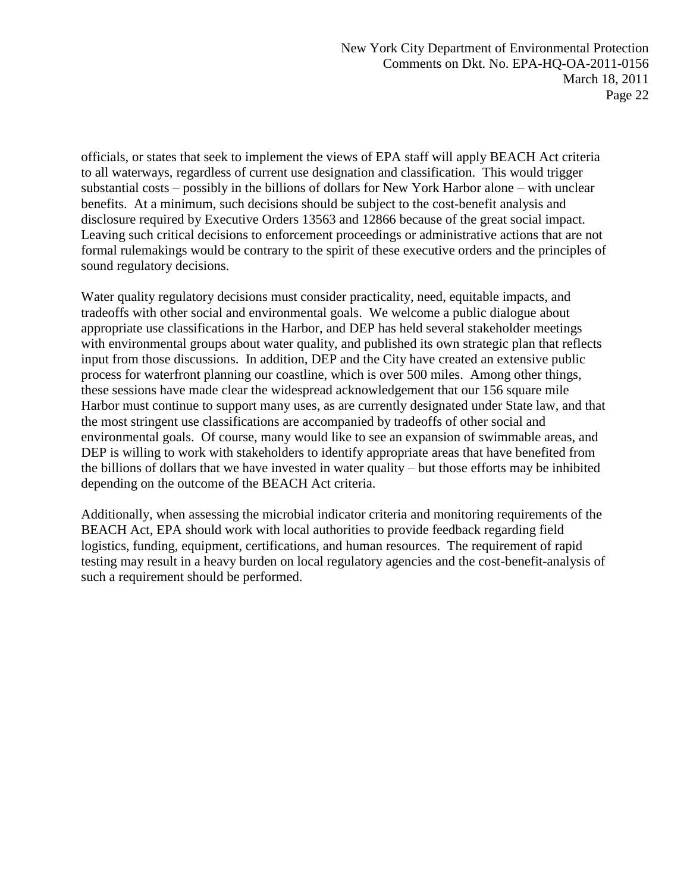officials, or states that seek to implement the views of EPA staff will apply BEACH Act criteria to all waterways, regardless of current use designation and classification. This would trigger substantial costs – possibly in the billions of dollars for New York Harbor alone – with unclear benefits. At a minimum, such decisions should be subject to the cost-benefit analysis and disclosure required by Executive Orders 13563 and 12866 because of the great social impact. Leaving such critical decisions to enforcement proceedings or administrative actions that are not formal rulemakings would be contrary to the spirit of these executive orders and the principles of sound regulatory decisions.

Water quality regulatory decisions must consider practicality, need, equitable impacts, and tradeoffs with other social and environmental goals. We welcome a public dialogue about appropriate use classifications in the Harbor, and DEP has held several stakeholder meetings with environmental groups about water quality, and published its own strategic plan that reflects input from those discussions. In addition, DEP and the City have created an extensive public process for waterfront planning our coastline, which is over 500 miles. Among other things, these sessions have made clear the widespread acknowledgement that our 156 square mile Harbor must continue to support many uses, as are currently designated under State law, and that the most stringent use classifications are accompanied by tradeoffs of other social and environmental goals. Of course, many would like to see an expansion of swimmable areas, and DEP is willing to work with stakeholders to identify appropriate areas that have benefited from the billions of dollars that we have invested in water quality – but those efforts may be inhibited depending on the outcome of the BEACH Act criteria.

Additionally, when assessing the microbial indicator criteria and monitoring requirements of the BEACH Act, EPA should work with local authorities to provide feedback regarding field logistics, funding, equipment, certifications, and human resources. The requirement of rapid testing may result in a heavy burden on local regulatory agencies and the cost-benefit-analysis of such a requirement should be performed.